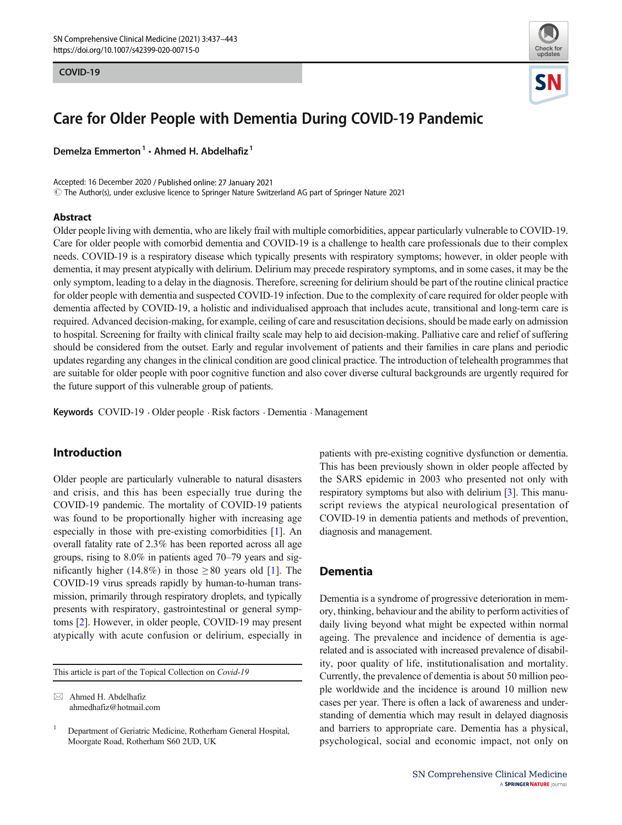

# Care for Older People with Dementia During COVID-19 Pandemic

Demelza Emmerton<sup>1</sup> · Ahmed H. Abdelhafiz<sup>1</sup>

Accepted: 16 December 2020 / Published online: 27 January 2021  $\circled{C}$  The Author(s), under exclusive licence to Springer Nature Switzerland AG part of Springer Nature 2021

### Abstract

Older people living with dementia, who are likely frail with multiple comorbidities, appear particularly vulnerable to COVID-19. Care for older people with comorbid dementia and COVID-19 is a challenge to health care professionals due to their complex needs. COVID-19 is a respiratory disease which typically presents with respiratory symptoms; however, in older people with dementia, it may present atypically with delirium. Delirium may precede respiratory symptoms, and in some cases, it may be the only symptom, leading to a delay in the diagnosis. Therefore, screening for delirium should be part of the routine clinical practice for older people with dementia and suspected COVID-19 infection. Due to the complexity of care required for older people with dementia affected by COVID-19, a holistic and individualised approach that includes acute, transitional and long-term care is required. Advanced decision-making, for example, ceiling of care and resuscitation decisions, should be made early on admission to hospital. Screening for frailty with clinical frailty scale may help to aid decision-making. Palliative care and relief of suffering should be considered from the outset. Early and regular involvement of patients and their families in care plans and periodic updates regarding any changes in the clinical condition are good clinical practice. The introduction of telehealth programmes that are suitable for older people with poor cognitive function and also cover diverse cultural backgrounds are urgently required for the future support of this vulnerable group of patients.

Keywords COVID-19 . Older people . Risk factors . Dementia . Management

# Introduction

Older people are particularly vulnerable to natural disasters and crisis, and this has been especially true during the COVID-19 pandemic. The mortality of COVID-19 patients was found to be proportionally higher with increasing age especially in those with pre-existing comorbidities [[1\]](#page-5-0). An overall fatality rate of 2.3% has been reported across all age groups, rising to 8.0% in patients aged 70–79 years and significantly higher (14.8%) in those  $\geq 80$  years old [\[1](#page-5-0)]. The COVID-19 virus spreads rapidly by human-to-human transmission, primarily through respiratory droplets, and typically presents with respiratory, gastrointestinal or general symptoms [\[2\]](#page-5-0). However, in older people, COVID-19 may present atypically with acute confusion or delirium, especially in

This article is part of the Topical Collection on Covid-19

 $\boxtimes$  Ahmed H. Abdelhafiz [ahmedhafiz@hotmail.com](mailto:ahmedhafiz@hotmail.com) patients with pre-existing cognitive dysfunction or dementia. This has been previously shown in older people affected by the SARS epidemic in 2003 who presented not only with respiratory symptoms but also with delirium [\[3\]](#page-5-0). This manuscript reviews the atypical neurological presentation of COVID-19 in dementia patients and methods of prevention, diagnosis and management.

# Dementia

Dementia is a syndrome of progressive deterioration in memory, thinking, behaviour and the ability to perform activities of daily living beyond what might be expected within normal ageing. The prevalence and incidence of dementia is agerelated and is associated with increased prevalence of disability, poor quality of life, institutionalisation and mortality. Currently, the prevalence of dementia is about 50 million people worldwide and the incidence is around 10 million new cases per year. There is often a lack of awareness and understanding of dementia which may result in delayed diagnosis and barriers to appropriate care. Dementia has a physical, psychological, social and economic impact, not only on

<sup>&</sup>lt;sup>1</sup> Department of Geriatric Medicine, Rotherham General Hospital, Moorgate Road, Rotherham S60 2UD, UK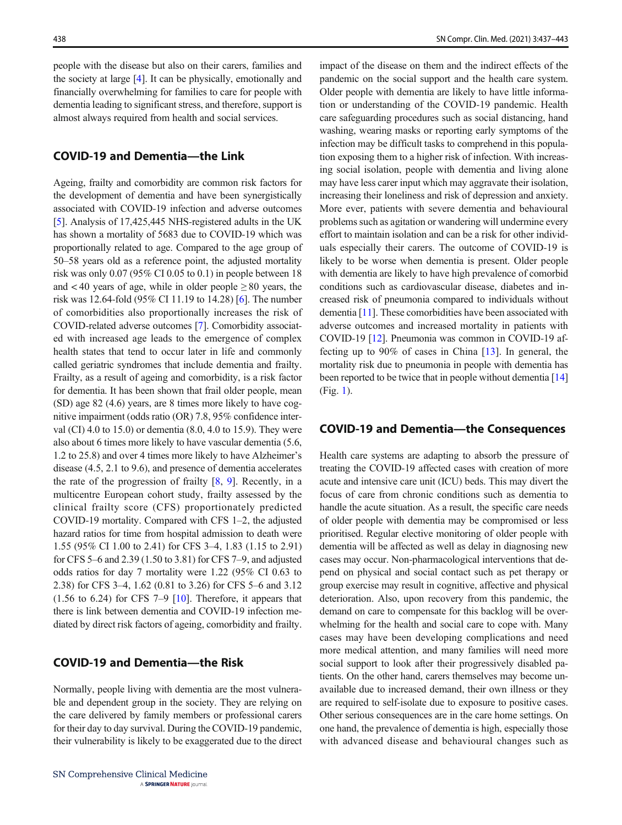people with the disease but also on their carers, families and the society at large [[4\]](#page-5-0). It can be physically, emotionally and financially overwhelming for families to care for people with dementia leading to significant stress, and therefore, support is almost always required from health and social services.

# COVID-19 and Dementia—the Link

Ageing, frailty and comorbidity are common risk factors for the development of dementia and have been synergistically associated with COVID-19 infection and adverse outcomes [\[5](#page-5-0)]. Analysis of 17,425,445 NHS-registered adults in the UK has shown a mortality of 5683 due to COVID-19 which was proportionally related to age. Compared to the age group of 50–58 years old as a reference point, the adjusted mortality risk was only 0.07 (95% CI 0.05 to 0.1) in people between 18 and  $< 40$  years of age, while in older people  $\geq 80$  years, the risk was 12.64-fold (95% CI 11.19 to 14.28) [\[6\]](#page-5-0). The number of comorbidities also proportionally increases the risk of COVID-related adverse outcomes [[7\]](#page-5-0). Comorbidity associated with increased age leads to the emergence of complex health states that tend to occur later in life and commonly called geriatric syndromes that include dementia and frailty. Frailty, as a result of ageing and comorbidity, is a risk factor for dementia. It has been shown that frail older people, mean (SD) age 82 (4.6) years, are 8 times more likely to have cognitive impairment (odds ratio (OR) 7.8, 95% confidence interval (CI) 4.0 to 15.0) or dementia (8.0, 4.0 to 15.9). They were also about 6 times more likely to have vascular dementia (5.6, 1.2 to 25.8) and over 4 times more likely to have Alzheimer's disease (4.5, 2.1 to 9.6), and presence of dementia accelerates the rate of the progression of frailty [\[8](#page-5-0), [9](#page-5-0)]. Recently, in a multicentre European cohort study, frailty assessed by the clinical frailty score (CFS) proportionately predicted COVID-19 mortality. Compared with CFS 1–2, the adjusted hazard ratios for time from hospital admission to death were 1.55 (95% CI 1.00 to 2.41) for CFS 3–4, 1.83 (1.15 to 2.91) for CFS 5–6 and 2.39 (1.50 to 3.81) for CFS 7–9, and adjusted odds ratios for day 7 mortality were 1.22 (95% CI 0.63 to 2.38) for CFS 3–4, 1.62 (0.81 to 3.26) for CFS 5–6 and 3.12  $(1.56 \text{ to } 6.24)$  for CFS 7–9 [\[10](#page-5-0)]. Therefore, it appears that there is link between dementia and COVID-19 infection mediated by direct risk factors of ageing, comorbidity and frailty.

# COVID-19 and Dementia—the Risk

Normally, people living with dementia are the most vulnerable and dependent group in the society. They are relying on the care delivered by family members or professional carers for their day to day survival. During the COVID-19 pandemic, their vulnerability is likely to be exaggerated due to the direct

impact of the disease on them and the indirect effects of the pandemic on the social support and the health care system. Older people with dementia are likely to have little information or understanding of the COVID-19 pandemic. Health care safeguarding procedures such as social distancing, hand washing, wearing masks or reporting early symptoms of the infection may be difficult tasks to comprehend in this population exposing them to a higher risk of infection. With increasing social isolation, people with dementia and living alone may have less carer input which may aggravate their isolation, increasing their loneliness and risk of depression and anxiety. More ever, patients with severe dementia and behavioural problems such as agitation or wandering will undermine every effort to maintain isolation and can be a risk for other individuals especially their carers. The outcome of COVID-19 is likely to be worse when dementia is present. Older people with dementia are likely to have high prevalence of comorbid conditions such as cardiovascular disease, diabetes and increased risk of pneumonia compared to individuals without dementia [[11\]](#page-5-0). These comorbidities have been associated with adverse outcomes and increased mortality in patients with COVID-19 [\[12\]](#page-5-0). Pneumonia was common in COVID-19 affecting up to 90% of cases in China [[13\]](#page-5-0). In general, the mortality risk due to pneumonia in people with dementia has been reported to be twice that in people without dementia [\[14](#page-5-0)] (Fig. [1](#page-2-0)).

# COVID-19 and Dementia—the Consequences

Health care systems are adapting to absorb the pressure of treating the COVID-19 affected cases with creation of more acute and intensive care unit (ICU) beds. This may divert the focus of care from chronic conditions such as dementia to handle the acute situation. As a result, the specific care needs of older people with dementia may be compromised or less prioritised. Regular elective monitoring of older people with dementia will be affected as well as delay in diagnosing new cases may occur. Non-pharmacological interventions that depend on physical and social contact such as pet therapy or group exercise may result in cognitive, affective and physical deterioration. Also, upon recovery from this pandemic, the demand on care to compensate for this backlog will be overwhelming for the health and social care to cope with. Many cases may have been developing complications and need more medical attention, and many families will need more social support to look after their progressively disabled patients. On the other hand, carers themselves may become unavailable due to increased demand, their own illness or they are required to self-isolate due to exposure to positive cases. Other serious consequences are in the care home settings. On one hand, the prevalence of dementia is high, especially those with advanced disease and behavioural changes such as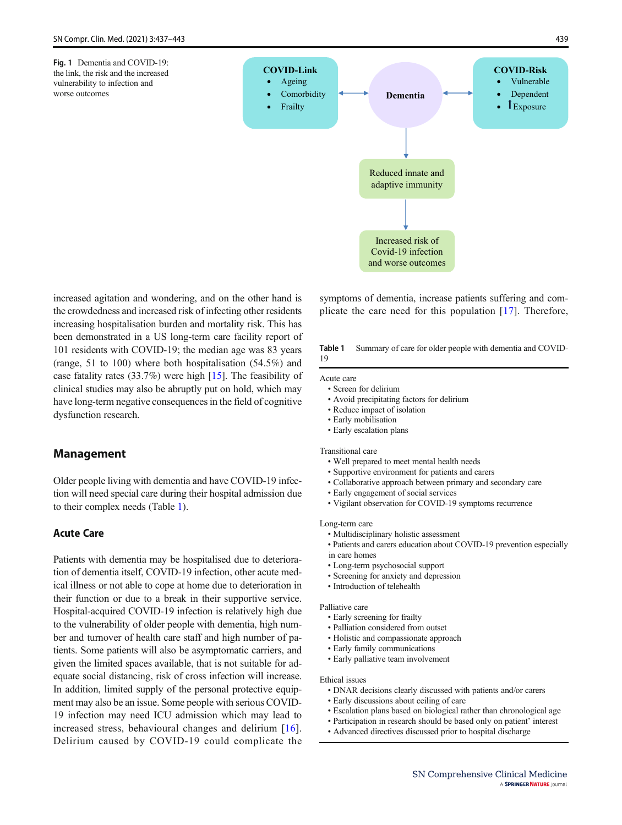<span id="page-2-0"></span>

increased agitation and wondering, and on the other hand is the crowdedness and increased risk of infecting other residents increasing hospitalisation burden and mortality risk. This has been demonstrated in a US long-term care facility report of 101 residents with COVID-19; the median age was 83 years (range, 51 to 100) where both hospitalisation (54.5%) and case fatality rates (33.7%) were high [[15](#page-5-0)]. The feasibility of clinical studies may also be abruptly put on hold, which may have long-term negative consequences in the field of cognitive dysfunction research.

# Management

Older people living with dementia and have COVID-19 infection will need special care during their hospital admission due to their complex needs (Table 1).

# Acute Care

Patients with dementia may be hospitalised due to deterioration of dementia itself, COVID-19 infection, other acute medical illness or not able to cope at home due to deterioration in their function or due to a break in their supportive service. Hospital-acquired COVID-19 infection is relatively high due to the vulnerability of older people with dementia, high number and turnover of health care staff and high number of patients. Some patients will also be asymptomatic carriers, and given the limited spaces available, that is not suitable for adequate social distancing, risk of cross infection will increase. In addition, limited supply of the personal protective equipment may also be an issue. Some people with serious COVID-19 infection may need ICU admission which may lead to increased stress, behavioural changes and delirium [[16](#page-5-0)]. Delirium caused by COVID-19 could complicate the symptoms of dementia, increase patients suffering and complicate the care need for this population [[17](#page-5-0)]. Therefore,

Table 1 Summary of care for older people with dementia and COVID-19

#### Acute care

- Screen for delirium
- Avoid precipitating factors for delirium
- Reduce impact of isolation
- Early mobilisation
- Early escalation plans

#### Transitional care

- Well prepared to meet mental health needs
- Supportive environment for patients and carers
- Collaborative approach between primary and secondary care
- Early engagement of social services
- Vigilant observation for COVID-19 symptoms recurrence

#### Long-term care

- Multidisciplinary holistic assessment
- Patients and carers education about COVID-19 prevention especially
- in care homes
- Long-term psychosocial support
- Screening for anxiety and depression
- Introduction of telehealth

#### Palliative care

- Early screening for frailty
- Palliation considered from outset
- Holistic and compassionate approach
- Early family communications
- Early palliative team involvement

### Ethical issues

- DNAR decisions clearly discussed with patients and/or carers
- Early discussions about ceiling of care
- Escalation plans based on biological rather than chronological age
- Participation in research should be based only on patient' interest
- Advanced directives discussed prior to hospital discharge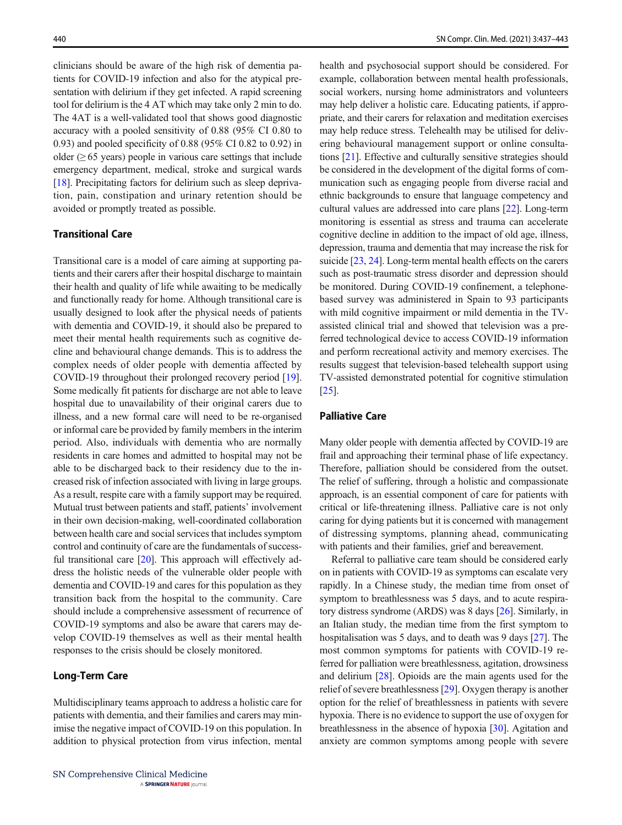clinicians should be aware of the high risk of dementia patients for COVID-19 infection and also for the atypical presentation with delirium if they get infected. A rapid screening tool for delirium is the 4 AT which may take only 2 min to do. The 4AT is a well-validated tool that shows good diagnostic accuracy with a pooled sensitivity of 0.88 (95% CI 0.80 to 0.93) and pooled specificity of 0.88 (95% CI 0.82 to 0.92) in older  $(\geq 65$  years) people in various care settings that include emergency department, medical, stroke and surgical wards [\[18\]](#page-5-0). Precipitating factors for delirium such as sleep deprivation, pain, constipation and urinary retention should be avoided or promptly treated as possible.

# Transitional Care

Transitional care is a model of care aiming at supporting patients and their carers after their hospital discharge to maintain their health and quality of life while awaiting to be medically and functionally ready for home. Although transitional care is usually designed to look after the physical needs of patients with dementia and COVID-19, it should also be prepared to meet their mental health requirements such as cognitive decline and behavioural change demands. This is to address the complex needs of older people with dementia affected by COVID-19 throughout their prolonged recovery period [[19\]](#page-5-0). Some medically fit patients for discharge are not able to leave hospital due to unavailability of their original carers due to illness, and a new formal care will need to be re-organised or informal care be provided by family members in the interim period. Also, individuals with dementia who are normally residents in care homes and admitted to hospital may not be able to be discharged back to their residency due to the increased risk of infection associated with living in large groups. As a result, respite care with a family support may be required. Mutual trust between patients and staff, patients' involvement in their own decision-making, well-coordinated collaboration between health care and social services that includes symptom control and continuity of care are the fundamentals of success-ful transitional care [[20\]](#page-5-0). This approach will effectively address the holistic needs of the vulnerable older people with dementia and COVID-19 and cares for this population as they transition back from the hospital to the community. Care should include a comprehensive assessment of recurrence of COVID-19 symptoms and also be aware that carers may develop COVID-19 themselves as well as their mental health responses to the crisis should be closely monitored.

### Long-Term Care

Multidisciplinary teams approach to address a holistic care for patients with dementia, and their families and carers may minimise the negative impact of COVID-19 on this population. In addition to physical protection from virus infection, mental health and psychosocial support should be considered. For example, collaboration between mental health professionals, social workers, nursing home administrators and volunteers may help deliver a holistic care. Educating patients, if appropriate, and their carers for relaxation and meditation exercises may help reduce stress. Telehealth may be utilised for delivering behavioural management support or online consultations [[21\]](#page-5-0). Effective and culturally sensitive strategies should be considered in the development of the digital forms of communication such as engaging people from diverse racial and ethnic backgrounds to ensure that language competency and cultural values are addressed into care plans [[22](#page-5-0)]. Long-term monitoring is essential as stress and trauma can accelerate cognitive decline in addition to the impact of old age, illness, depression, trauma and dementia that may increase the risk for suicide [[23](#page-5-0), [24\]](#page-5-0). Long-term mental health effects on the carers such as post-traumatic stress disorder and depression should be monitored. During COVID-19 confinement, a telephonebased survey was administered in Spain to 93 participants with mild cognitive impairment or mild dementia in the TVassisted clinical trial and showed that television was a preferred technological device to access COVID-19 information and perform recreational activity and memory exercises. The results suggest that television-based telehealth support using TV-assisted demonstrated potential for cognitive stimulation [\[25](#page-5-0)].

# Palliative Care

Many older people with dementia affected by COVID-19 are frail and approaching their terminal phase of life expectancy. Therefore, palliation should be considered from the outset. The relief of suffering, through a holistic and compassionate approach, is an essential component of care for patients with critical or life-threatening illness. Palliative care is not only caring for dying patients but it is concerned with management of distressing symptoms, planning ahead, communicating with patients and their families, grief and bereavement.

Referral to palliative care team should be considered early on in patients with COVID-19 as symptoms can escalate very rapidly. In a Chinese study, the median time from onset of symptom to breathlessness was 5 days, and to acute respiratory distress syndrome (ARDS) was 8 days [[26](#page-5-0)]. Similarly, in an Italian study, the median time from the first symptom to hospitalisation was 5 days, and to death was 9 days [\[27](#page-5-0)]. The most common symptoms for patients with COVID-19 referred for palliation were breathlessness, agitation, drowsiness and delirium [[28](#page-5-0)]. Opioids are the main agents used for the relief of severe breathlessness [\[29](#page-5-0)]. Oxygen therapy is another option for the relief of breathlessness in patients with severe hypoxia. There is no evidence to support the use of oxygen for breathlessness in the absence of hypoxia [\[30\]](#page-5-0). Agitation and anxiety are common symptoms among people with severe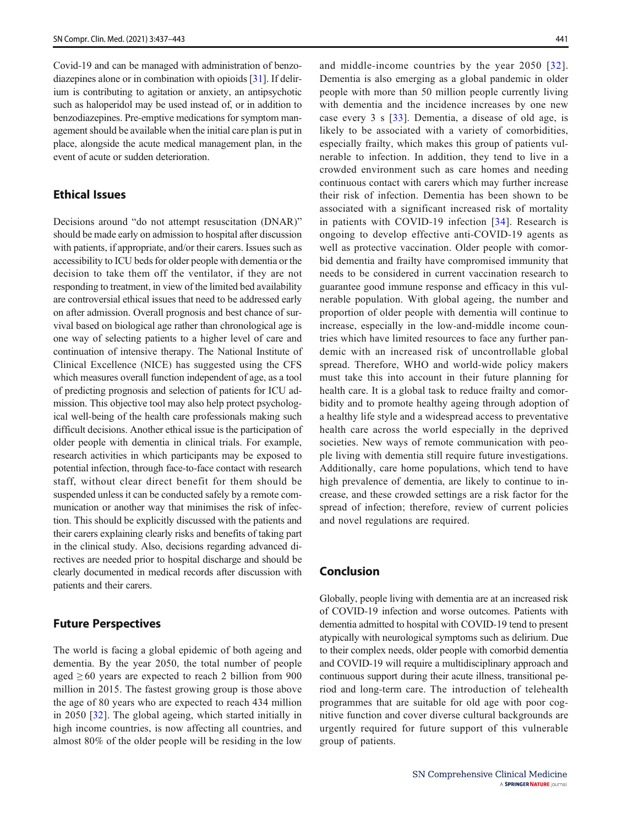Covid-19 and can be managed with administration of benzodiazepines alone or in combination with opioids [\[31\]](#page-5-0). If delirium is contributing to agitation or anxiety, an antipsychotic such as haloperidol may be used instead of, or in addition to benzodiazepines. Pre-emptive medications for symptom management should be available when the initial care plan is put in place, alongside the acute medical management plan, in the event of acute or sudden deterioration.

# Ethical Issues

Decisions around "do not attempt resuscitation (DNAR)" should be made early on admission to hospital after discussion with patients, if appropriate, and/or their carers. Issues such as accessibility to ICU beds for older people with dementia or the decision to take them off the ventilator, if they are not responding to treatment, in view of the limited bed availability are controversial ethical issues that need to be addressed early on after admission. Overall prognosis and best chance of survival based on biological age rather than chronological age is one way of selecting patients to a higher level of care and continuation of intensive therapy. The National Institute of Clinical Excellence (NICE) has suggested using the CFS which measures overall function independent of age, as a tool of predicting prognosis and selection of patients for ICU admission. This objective tool may also help protect psychological well-being of the health care professionals making such difficult decisions. Another ethical issue is the participation of older people with dementia in clinical trials. For example, research activities in which participants may be exposed to potential infection, through face-to-face contact with research staff, without clear direct benefit for them should be suspended unless it can be conducted safely by a remote communication or another way that minimises the risk of infection. This should be explicitly discussed with the patients and their carers explaining clearly risks and benefits of taking part in the clinical study. Also, decisions regarding advanced directives are needed prior to hospital discharge and should be clearly documented in medical records after discussion with patients and their carers.

# Future Perspectives

The world is facing a global epidemic of both ageing and dementia. By the year 2050, the total number of people aged  $\geq 60$  years are expected to reach 2 billion from 900 million in 2015. The fastest growing group is those above the age of 80 years who are expected to reach 434 million in 2050 [[32](#page-6-0)]. The global ageing, which started initially in high income countries, is now affecting all countries, and almost 80% of the older people will be residing in the low and middle-income countries by the year 2050 [[32](#page-6-0)]. Dementia is also emerging as a global pandemic in older people with more than 50 million people currently living with dementia and the incidence increases by one new case every 3 s [\[33](#page-6-0)]. Dementia, a disease of old age, is likely to be associated with a variety of comorbidities, especially frailty, which makes this group of patients vulnerable to infection. In addition, they tend to live in a crowded environment such as care homes and needing continuous contact with carers which may further increase their risk of infection. Dementia has been shown to be associated with a significant increased risk of mortality in patients with COVID-19 infection [[34\]](#page-6-0). Research is ongoing to develop effective anti-COVID-19 agents as well as protective vaccination. Older people with comorbid dementia and frailty have compromised immunity that needs to be considered in current vaccination research to guarantee good immune response and efficacy in this vulnerable population. With global ageing, the number and proportion of older people with dementia will continue to increase, especially in the low-and-middle income countries which have limited resources to face any further pandemic with an increased risk of uncontrollable global spread. Therefore, WHO and world-wide policy makers must take this into account in their future planning for health care. It is a global task to reduce frailty and comorbidity and to promote healthy ageing through adoption of a healthy life style and a widespread access to preventative health care across the world especially in the deprived societies. New ways of remote communication with people living with dementia still require future investigations. Additionally, care home populations, which tend to have high prevalence of dementia, are likely to continue to increase, and these crowded settings are a risk factor for the spread of infection; therefore, review of current policies and novel regulations are required.

# Conclusion

Globally, people living with dementia are at an increased risk of COVID-19 infection and worse outcomes. Patients with dementia admitted to hospital with COVID-19 tend to present atypically with neurological symptoms such as delirium. Due to their complex needs, older people with comorbid dementia and COVID-19 will require a multidisciplinary approach and continuous support during their acute illness, transitional period and long-term care. The introduction of telehealth programmes that are suitable for old age with poor cognitive function and cover diverse cultural backgrounds are urgently required for future support of this vulnerable group of patients.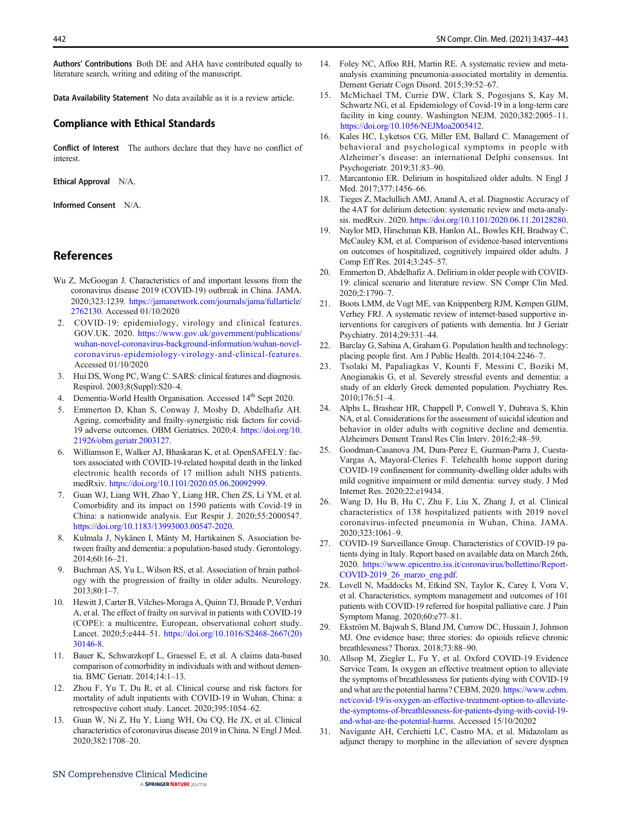<span id="page-5-0"></span>Authors' Contributions Both DE and AHA have contributed equally to literature search, writing and editing of the manuscript.

Data Availability Statement No data available as it is a review article.

### Compliance with Ethical Standards

Conflict of Interest The authors declare that they have no conflict of interest.

Ethical Approval N/A.

Informed Consent N/A.

# References

- Wu Z, McGoogan J. Characteristics of and important lessons from the coronavirus disease 2019 (COVID-19) outbreak in China. JAMA. 2020;323:1239. [https://jamanetwork.com/journals/jama/fullarticle/](https://jamanetwork.com/journals/jama/fullarticle/2762130) [2762130.](https://jamanetwork.com/journals/jama/fullarticle/2762130) Accessed 01/10/2020
- 2. COVID-19: epidemiology, virology and clinical features. GOV.UK. 2020. [https://www.gov.uk/government/publications/](https://www.gov.uk/government/publications/wuhan-novel-coronavirus-background-information/wuhan-novel-coronavirus-epidemiology-virology-and-clinical-features) [wuhan-novel-coronavirus-background-information/wuhan-novel](https://www.gov.uk/government/publications/wuhan-novel-coronavirus-background-information/wuhan-novel-coronavirus-epidemiology-virology-and-clinical-features)[coronavirus-epidemiology-virology-and-clinical-features](https://www.gov.uk/government/publications/wuhan-novel-coronavirus-background-information/wuhan-novel-coronavirus-epidemiology-virology-and-clinical-features). Accessed 01/10/2020
- 3. Hui DS, Wong PC, Wang C. SARS: clinical features and diagnosis. Respirol. 2003;8(Suppl):S20–4.
- 4. Dementia-World Health Organisation. Accessed 14<sup>th</sup> Sept 2020.
- 5. Emmerton D, Khan S, Conway J, Mosby D, Abdelhafiz AH. Ageing, comorbidity and frailty-synergistic risk factors for covid-19 adverse outcomes. OBM Geriatrics. 2020;4. [https://doi.org/10.](https://doi.org/10.21926/obm.geriatr.2003127) [21926/obm.geriatr.2003127](https://doi.org/10.21926/obm.geriatr.2003127).
- 6. Williamson E, Walker AJ, Bhaskaran K, et al. OpenSAFELY: factors associated with COVID-19-related hospital death in the linked electronic health records of 17 million adult NHS patients. medRxiv. [https://doi.org/10.1101/2020.05.06.20092999.](https://doi.org/10.1101/2020.05.06.20092999)
- 7. Guan WJ, Liang WH, Zhao Y, Liang HR, Chen ZS, Li YM, et al. Comorbidity and its impact on 1590 patients with Covid-19 in China: a nationwide analysis. Eur Respir J. 2020;55:2000547. <https://doi.org/10.1183/13993003.00547-2020>.
- 8. Kulmala J, Nykänen I, Mänty M, Hartikainen S. Association between frailty and dementia: a population-based study. Gerontology. 2014;60:16–21.
- 9. Buchman AS, Yu L, Wilson RS, et al. Association of brain pathology with the progression of frailty in older adults. Neurology. 2013;80:1–7.
- 10. Hewitt J, Carter B, Vilches-Moraga A, Quinn TJ, Braude P, Verduri A, et al. The effect of frailty on survival in patients with COVID-19 (COPE): a multicentre, European, observational cohort study. Lancet. 2020;5:e444–51. [https://doi.org/10.1016/S2468-2667\(20\)](https://doi.org/10.1016/S2468-2667(20)30146-8) [30146-8.](https://doi.org/10.1016/S2468-2667(20)30146-8)
- 11. Bauer K, Schwarzkopf L, Graessel E, et al. A claims data-based comparison of comorbidity in individuals with and without dementia. BMC Geriatr. 2014;14:1–13.
- 12. Zhou F, Yu T, Du R, et al. Clinical course and risk factors for mortality of adult inpatients with COVID-19 in Wuhan, China: a retrospective cohort study. Lancet. 2020;395:1054–62.
- 13. Guan W, Ni Z, Hu Y, Liang WH, Ou CQ, He JX, et al. Clinical characteristics of coronavirus disease 2019 in China. N Engl J Med. 2020;382:1708–20.
- 14. Foley NC, Affoo RH, Martin RE. A systematic review and metaanalysis examining pneumonia-associated mortality in dementia. Dement Geriatr Cogn Disord. 2015;39:52–67.
- 15. McMichael TM, Currie DW, Clark S, Pogosjans S, Kay M, Schwartz NG, et al. Epidemiology of Covid-19 in a long-term care facility in king county. Washington NEJM. 2020;382:2005–11. <https://doi.org/10.1056/NEJMoa2005412>.
- 16. Kales HC, Lyketsos CG, Miller EM, Ballard C. Management of behavioral and psychological symptoms in people with Alzheimer's disease: an international Delphi consensus. Int Psychogeriatr. 2019;31:83–90.
- 17. Marcantonio ER. Delirium in hospitalized older adults. N Engl J Med. 2017;377:1456–66.
- 18. Tieges Z, Maclullich AMJ, Anand A, et al. Diagnostic Accuracy of the 4AT for delirium detection: systematic review and meta-analysis. medRxiv. 2020. <https://doi.org/10.1101/2020.06.11.20128280>.
- 19. Naylor MD, Hirschman KB, Hanlon AL, Bowles KH, Bradway C, McCauley KM, et al. Comparison of evidence-based interventions on outcomes of hospitalized, cognitively impaired older adults. J Comp Eff Res. 2014;3:245–57.
- 20. Emmerton D, Abdelhafiz A. Delirium in older people with COVID-19: clinical scenario and literature review. SN Compr Clin Med. 2020;2:1790–7.
- 21. Boots LMM, de Vugt ME, van Knippenberg RJM, Kempen GIJM, Verhey FRJ. A systematic review of internet-based supportive interventions for caregivers of patients with dementia. Int J Geriatr Psychiatry. 2014;29:331–44.
- 22. Barclay G, Sabina A, Graham G. Population health and technology: placing people first. Am J Public Health. 2014;104:2246–7.
- 23. Tsolaki M, Papaliagkas V, Kounti F, Messini C, Boziki M, Anogianakis G, et al. Severely stressful events and dementia: a study of an elderly Greek demented population. Psychiatry Res. 2010;176:51–4.
- 24. Alphs L, Brashear HR, Chappell P, Conwell Y, Dubrava S, Khin NA, et al. Considerations for the assessment of suicidal ideation and behavior in older adults with cognitive decline and dementia. Alzheimers Dement Transl Res Clin Interv. 2016;2:48–59.
- 25. Goodman-Casanova JM, Dura-Perez E, Guzman-Parra J, Cuesta-Vargas A, Mayoral-Cleries F. Telehealth home support during COVID-19 confinement for community-dwelling older adults with mild cognitive impairment or mild dementia: survey study. J Med Internet Res. 2020;22:e19434.
- 26. Wang D, Hu B, Hu C, Zhu F, Liu X, Zhang J, et al. Clinical characteristics of 138 hospitalized patients with 2019 novel coronavirus-infected pneumonia in Wuhan, China. JAMA. 2020;323:1061–9.
- 27. COVID-19 Surveillance Group. Characteristics of COVID-19 patients dying in Italy. Report based on available data on March 26th, 2020. [https://www.epicentro.iss.it/coronavirus/bollettino/Report-](https://www.epicentro.iss.it/coronavirus/bollettino/Report-%20COVID-2019_26_marzo_eng.pdf)[COVID-2019\\_26\\_marzo\\_eng.pdf](https://www.epicentro.iss.it/coronavirus/bollettino/Report-%20COVID-2019_26_marzo_eng.pdf).
- 28. Lovell N, Maddocks M, Etkind SN, Taylor K, Carey I, Vora V, et al. Characteristics, symptom management and outcomes of 101 patients with COVID-19 referred for hospital palliative care. J Pain Symptom Manag. 2020;60:e77–81.
- 29. Ekström M, Bajwah S, Bland JM, Currow DC, Hussain J, Johnson MJ. One evidence base; three stories: do opioids relieve chronic breathlessness? Thorax. 2018;73:88–90.
- 30. Allsop M, Ziegler L, Fu Y, et al. Oxford COVID-19 Evidence Service Team. Is oxygen an effective treatment option to alleviate the symptoms of breathlessness for patients dying with COVID-19 and what are the potential harms? CEBM, 2020. [https://www.cebm.](https://www.cebm.net/covid-19/is-oxygen-an-effective-treatment-option-to-alleviate-the-symptoms-of-breathlessness-for-patients-dying-with-covid-19-and-what-are-the-potential-harms) [net/covid-19/is-oxygen-an-effective-treatment-option-to-alleviate](https://www.cebm.net/covid-19/is-oxygen-an-effective-treatment-option-to-alleviate-the-symptoms-of-breathlessness-for-patients-dying-with-covid-19-and-what-are-the-potential-harms)[the-symptoms-of-breathlessness-for-patients-dying-with-covid-19](https://www.cebm.net/covid-19/is-oxygen-an-effective-treatment-option-to-alleviate-the-symptoms-of-breathlessness-for-patients-dying-with-covid-19-and-what-are-the-potential-harms) [and-what-are-the-potential-harms.](https://www.cebm.net/covid-19/is-oxygen-an-effective-treatment-option-to-alleviate-the-symptoms-of-breathlessness-for-patients-dying-with-covid-19-and-what-are-the-potential-harms) Accessed 15/10/20202
- 31. Navigante AH, Cerchietti LC, Castro MA, et al. Midazolam as adjunct therapy to morphine in the alleviation of severe dyspnea